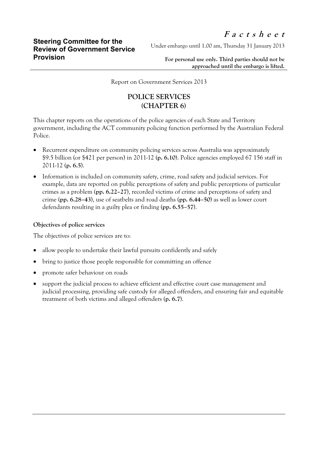Under embargo until 1.00 am, Thursday 31 January 2013

**For personal use only. Third parties should not be approached until the embargo is lifted.**

Report on Government Services 2013

## **POLICE SERVICES (CHAPTER 6)**

This chapter reports on the operations of the police agencies of each State and Territory government, including the ACT community policing function performed by the Australian Federal Police.

- Recurrent expenditure on community policing services across Australia was approximately \$9.5 billion (or \$421 per person) in 2011-12 (**p. 6.10**). Police agencies employed 67 156 staff in 2011-12 (**p. 6.5**).
- Information is included on community safety, crime, road safety and judicial services. For example, data are reported on public perceptions of safety and public perceptions of particular crimes as a problem (**pp. 6.22–27**), recorded victims of crime and perceptions of safety and crime (**pp. 6.28–43**), use of seatbelts and road deaths (**pp. 6.44–50**) as well as lower court defendants resulting in a guilty plea or finding (**pp. 6.55–57**).

## **Objectives of police services**

The objectives of police services are to:

- allow people to undertake their lawful pursuits confidently and safely
- bring to justice those people responsible for committing an offence
- promote safer behaviour on roads
- support the judicial process to achieve efficient and effective court case management and judicial processing, providing safe custody for alleged offenders, and ensuring fair and equitable treatment of both victims and alleged offenders (**p. 6.7**).